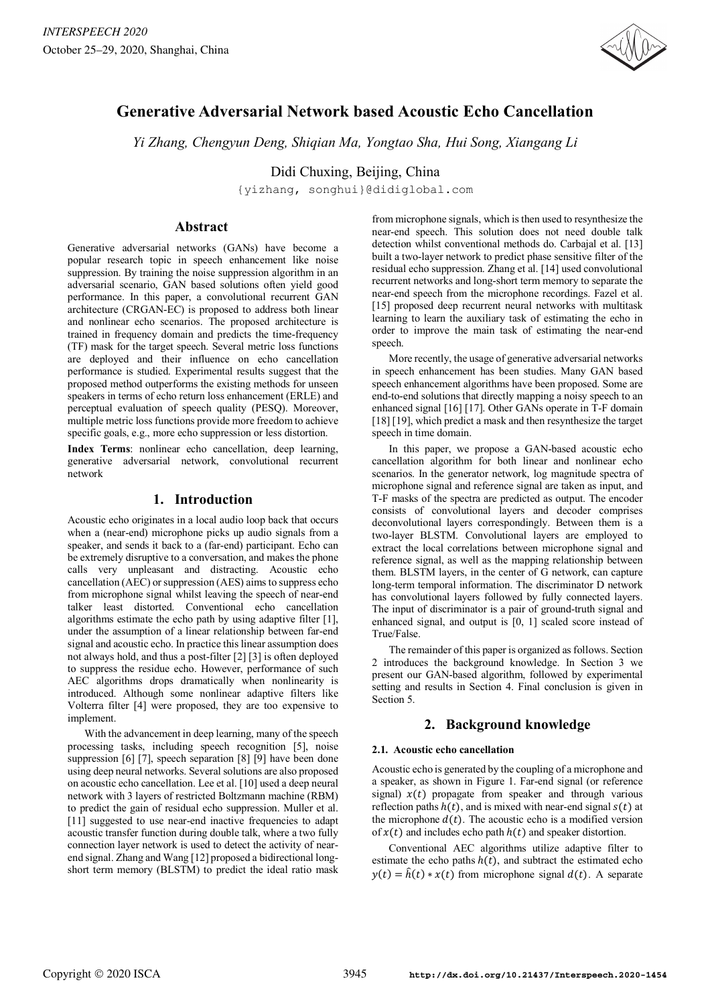

# **Generative Adversarial Network based Acoustic Echo Cancellation**

*Yi Zhang, Chengyun Deng, Shiqian Ma, Yongtao Sha, Hui Song, Xiangang Li*

Didi Chuxing, Beijing, China

{yizhang, songhui}@didiglobal.com

## **Abstract**

Generative adversarial networks (GANs) have become a popular research topic in speech enhancement like noise suppression. By training the noise suppression algorithm in an adversarial scenario, GAN based solutions often yield good performance. In this paper, a convolutional recurrent GAN architecture (CRGAN-EC) is proposed to address both linear and nonlinear echo scenarios. The proposed architecture is trained in frequency domain and predicts the time-frequency (TF) mask for the target speech. Several metric loss functions are deployed and their influence on echo cancellation performance is studied. Experimental results suggest that the proposed method outperforms the existing methods for unseen speakers in terms of echo return loss enhancement (ERLE) and perceptual evaluation of speech quality (PESQ). Moreover, multiple metric loss functions provide more freedom to achieve specific goals, e.g., more echo suppression or less distortion.

**Index Terms**: nonlinear echo cancellation, deep learning, generative adversarial network, convolutional recurrent network

# **1. Introduction**

Acoustic echo originates in a local audio loop back that occurs when a (near-end) microphone picks up audio signals from a speaker, and sends it back to a (far-end) participant. Echo can be extremely disruptive to a conversation, and makes the phone calls very unpleasant and distracting. Acoustic echo cancellation (AEC) or suppression (AES) aims to suppress echo from microphone signal whilst leaving the speech of near-end talker least distorted. Conventional echo cancellation algorithms estimate the echo path by using adaptive filter [1], under the assumption of a linear relationship between far-end signal and acoustic echo. In practice this linear assumption does not always hold, and thus a post-filter [2] [3] is often deployed to suppress the residue echo. However, performance of such AEC algorithms drops dramatically when nonlinearity is introduced. Although some nonlinear adaptive filters like Volterra filter [4] were proposed, they are too expensive to implement.

With the advancement in deep learning, many of the speech processing tasks, including speech recognition [5], noise suppression [6] [7], speech separation [8] [9] have been done using deep neural networks. Several solutions are also proposed on acoustic echo cancellation. Lee et al. [10] used a deep neural network with 3 layers of restricted Boltzmann machine (RBM) to predict the gain of residual echo suppression. Muller et al. [11] suggested to use near-end inactive frequencies to adapt acoustic transfer function during double talk, where a two fully connection layer network is used to detect the activity of nearend signal. Zhang and Wang [12] proposed a bidirectional longshort term memory (BLSTM) to predict the ideal ratio mask from microphone signals, which is then used to resynthesize the near-end speech. This solution does not need double talk detection whilst conventional methods do. Carbajal et al. [13] built a two-layer network to predict phase sensitive filter of the residual echo suppression. Zhang et al. [14] used convolutional recurrent networks and long-short term memory to separate the near-end speech from the microphone recordings. Fazel et al. [15] proposed deep recurrent neural networks with multitask learning to learn the auxiliary task of estimating the echo in order to improve the main task of estimating the near-end speech.

More recently, the usage of generative adversarial networks in speech enhancement has been studies. Many GAN based speech enhancement algorithms have been proposed. Some are end-to-end solutions that directly mapping a noisy speech to an enhanced signal [16] [17]. Other GANs operate in T-F domain [18] [19], which predict a mask and then resynthesize the target speech in time domain.

In this paper, we propose a GAN-based acoustic echo cancellation algorithm for both linear and nonlinear echo scenarios. In the generator network, log magnitude spectra of microphone signal and reference signal are taken as input, and T-F masks of the spectra are predicted as output. The encoder consists of convolutional layers and decoder comprises deconvolutional layers correspondingly. Between them is a two-layer BLSTM. Convolutional layers are employed to extract the local correlations between microphone signal and reference signal, as well as the mapping relationship between them. BLSTM layers, in the center of G network, can capture long-term temporal information. The discriminator D network has convolutional layers followed by fully connected layers. The input of discriminator is a pair of ground-truth signal and enhanced signal, and output is [0, 1] scaled score instead of True/False.

The remainder of this paper is organized as follows. Section 2 introduces the background knowledge. In Section 3 we present our GAN-based algorithm, followed by experimental setting and results in Section 4. Final conclusion is given in Section 5.

# **2. Background knowledge**

## **2.1. Acoustic echo cancellation**

Acoustic echo is generated by the coupling of a microphone and a speaker, as shown in Figure 1. Far-end signal (or reference signal)  $x(t)$  propagate from speaker and through various reflection paths  $h(t)$ , and is mixed with near-end signal  $s(t)$  at the microphone  $d(t)$ . The acoustic echo is a modified version of  $x(t)$  and includes echo path  $h(t)$  and speaker distortion.

Conventional AEC algorithms utilize adaptive filter to estimate the echo paths  $h(t)$ , and subtract the estimated echo  $y(t) = \hat{h}(t) * x(t)$  from microphone signal  $d(t)$ . A separate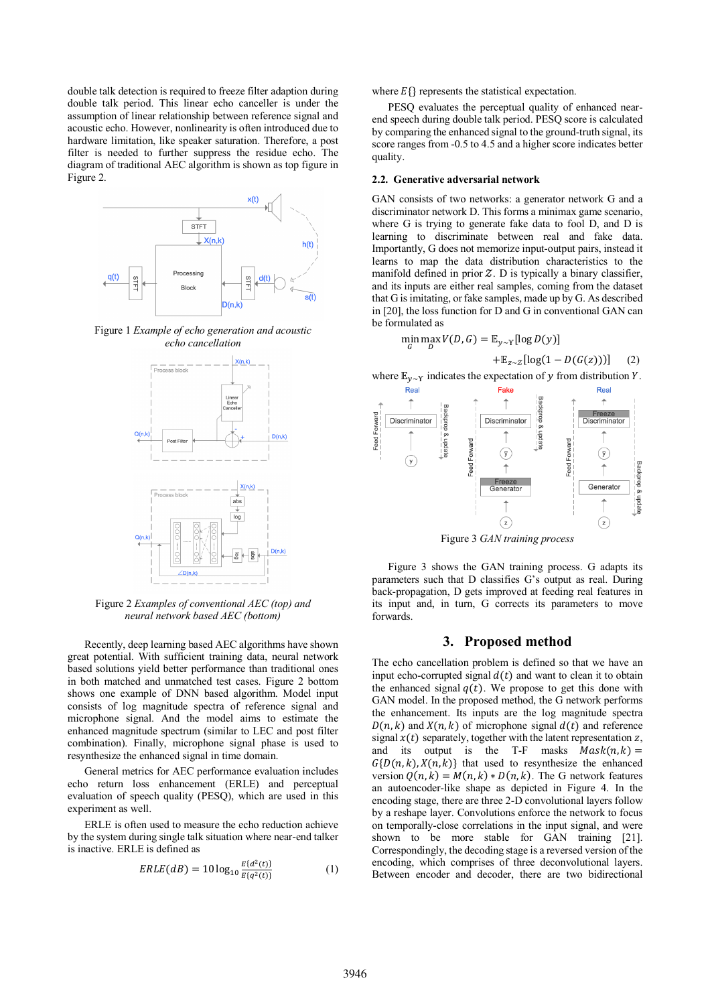double talk detection is required to freeze filter adaption during double talk period. This linear echo canceller is under the assumption of linear relationship between reference signal and acoustic echo. However, nonlinearity is often introduced due to hardware limitation, like speaker saturation. Therefore, a post filter is needed to further suppress the residue echo. The diagram of traditional AEC algorithm is shown as top figure in Figure 2.



Figure 1 *Example of echo generation and acoustic echo cancellation*



Figure 2 *Examples of conventional AEC (top) and neural network based AEC (bottom)*

Recently, deep learning based AEC algorithms have shown great potential. With sufficient training data, neural network based solutions yield better performance than traditional ones in both matched and unmatched test cases. Figure 2 bottom shows one example of DNN based algorithm. Model input consists of log magnitude spectra of reference signal and microphone signal. And the model aims to estimate the enhanced magnitude spectrum (similar to LEC and post filter combination). Finally, microphone signal phase is used to resynthesize the enhanced signal in time domain.

General metrics for AEC performance evaluation includes echo return loss enhancement (ERLE) and perceptual evaluation of speech quality (PESQ), which are used in this experiment as well.

ERLE is often used to measure the echo reduction achieve by the system during single talk situation where near-end talker is inactive. ERLE is defined as

$$
ERLE(dB) = 10 \log_{10} \frac{E\{d^2(t)\}}{E\{q^2(t)\}}
$$
 (1)

where  $E\{\}$  represents the statistical expectation.

PESQ evaluates the perceptual quality of enhanced nearend speech during double talk period. PESQ score is calculated by comparing the enhanced signal to the ground-truth signal, its score ranges from -0.5 to 4.5 and a higher score indicates better quality.

#### **2.2. Generative adversarial network**

GAN consists of two networks: a generator network G and a discriminator network D. This forms a minimax game scenario. where G is trying to generate fake data to fool D, and D is learning to discriminate between real and fake data. Importantly, G does not memorize input-output pairs, instead it learns to map the data distribution characteristics to the manifold defined in prior  $Z$ . D is typically a binary classifier, and its inputs are either real samples, coming from the dataset that G isimitating, or fake samples, made up by G. As described in [20], the loss function for D and G in conventional GAN can be formulated as

$$
\min_G \max_D V(D, G) = \mathbb{E}_{y \sim \Upsilon} [\log D(y)]
$$

$$
+\mathbb{E}_{z\sim\mathcal{Z}}\left[\log(1-D(G(z)))\right] \quad (2)
$$

where  $\mathbb{E}_{y \sim Y}$  indicates the expectation of y from distribution Y.



Figure 3 *GAN training process*

Figure 3 shows the GAN training process. G adapts its parameters such that D classifies G's output as real. During back-propagation, D gets improved at feeding real features in its input and, in turn, G corrects its parameters to move forwards.

#### **3. Proposed method**

The echo cancellation problem is defined so that we have an input echo-corrupted signal  $d(t)$  and want to clean it to obtain the enhanced signal  $q(t)$ . We propose to get this done with GAN model. In the proposed method, the G network performs the enhancement. Its inputs are the log magnitude spectra  $D(n, k)$  and  $X(n, k)$  of microphone signal  $d(t)$  and reference signal  $x(t)$  separately, together with the latent representation z, and its output is the T-F masks  $Mask(n, k) =$  $G\{D(n, k), X(n, k)\}\$  that used to resynthesize the enhanced version  $Q(n, k) = M(n, k) * D(n, k)$ . The G network features an autoencoder-like shape as depicted in Figure 4. In the encoding stage, there are three 2-D convolutional layers follow by a reshape layer. Convolutions enforce the network to focus on temporally-close correlations in the input signal, and were shown to be more stable for GAN training [21]. Correspondingly, the decoding stage is a reversed version of the encoding, which comprises of three deconvolutional layers. Between encoder and decoder, there are two bidirectional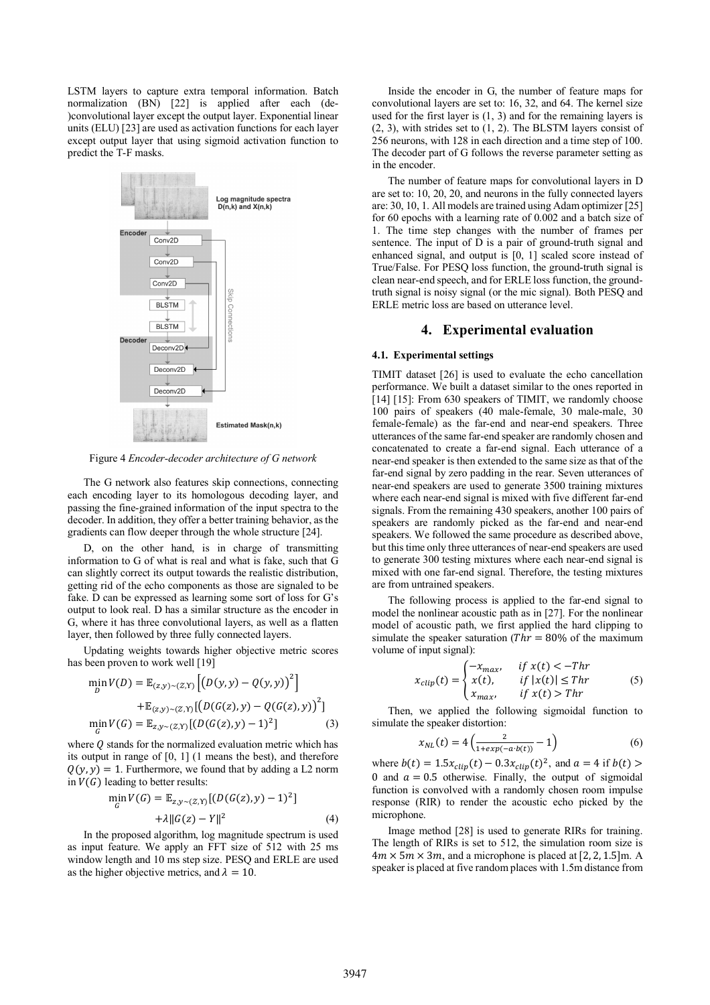LSTM layers to capture extra temporal information. Batch normalization (BN) [22] is applied after each (de-)convolutional layer except the output layer. Exponential linear units (ELU) [23] are used as activation functions for each layer except output layer that using sigmoid activation function to predict the T-F masks.



Figure 4 *Encoder-decoder architecture of G network*

The G network also features skip connections, connecting each encoding layer to its homologous decoding layer, and passing the fine-grained information of the input spectra to the decoder. In addition, they offer a better training behavior, as the gradients can flow deeper through the whole structure [24].

D, on the other hand, is in charge of transmitting information to G of what is real and what is fake, such that G can slightly correct its output towards the realistic distribution, getting rid of the echo components as those are signaled to be fake. D can be expressed as learning some sort of loss for G's output to look real. D has a similar structure as the encoder in G, where it has three convolutional layers, as well as a flatten layer, then followed by three fully connected layers.

Updating weights towards higher objective metric scores has been proven to work well [19]

$$
\min_{D} V(D) = \mathbb{E}_{(z,y)\sim(Z,Y)} [(D(y,y) - Q(y,y))^2] + \mathbb{E}_{(z,y)\sim(Z,Y)} [(D(G(z),y) - Q(G(z),y))^2]
$$
  
\n
$$
\min_{G} V(G) = \mathbb{E}_{z,y\sim(Z,Y)} [(D(G(z),y) - 1)^2]
$$
\n(3)

where  $O$  stands for the normalized evaluation metric which has its output in range of [0, 1] (1 means the best), and therefore  $Q(y, y) = 1$ . Furthermore, we found that by adding a L2 norm in  $V(G)$  leading to better results:

$$
\min_{G} V(G) = \mathbb{E}_{z, y \sim (Z, Y)} [(D(G(z), y) - 1)^{2}]
$$
  
 
$$
+ \lambda ||G(z) - Y||^{2}
$$
 (4)

In the proposed algorithm, log magnitude spectrum is used as input feature. We apply an FFT size of 512 with 25 ms window length and 10 ms step size. PESQ and ERLE are used as the higher objective metrics, and  $\lambda = 10$ .

Inside the encoder in G, the number of feature maps for convolutional layers are set to: 16, 32, and 64. The kernel size used for the first layer is (1, 3) and for the remaining layers is (2, 3), with strides set to (1, 2). The BLSTM layers consist of 256 neurons, with 128 in each direction and a time step of 100. The decoder part of G follows the reverse parameter setting as in the encoder.

The number of feature maps for convolutional layers in D are set to: 10, 20, 20, and neurons in the fully connected layers are: 30, 10, 1. All models are trained using Adam optimizer [25] for 60 epochs with a learning rate of 0.002 and a batch size of 1. The time step changes with the number of frames per sentence. The input of D is a pair of ground-truth signal and enhanced signal, and output is [0, 1] scaled score instead of True/False. For PESQ loss function, the ground-truth signal is clean near-end speech, and for ERLE loss function, the groundtruth signal is noisy signal (or the mic signal). Both PESQ and ERLE metric loss are based on utterance level.

#### **4. Experimental evaluation**

#### **4.1. Experimental settings**

TIMIT dataset [26] is used to evaluate the echo cancellation performance. We built a dataset similar to the ones reported in [14] [15]: From 630 speakers of TIMIT, we randomly choose 100 pairs of speakers (40 male-female, 30 male-male, 30 female-female) as the far-end and near-end speakers. Three utterances of the same far-end speaker are randomly chosen and concatenated to create a far-end signal. Each utterance of a near-end speaker is then extended to the same size as that of the far-end signal by zero padding in the rear. Seven utterances of near-end speakers are used to generate 3500 training mixtures where each near-end signal is mixed with five different far-end signals. From the remaining 430 speakers, another 100 pairs of speakers are randomly picked as the far-end and near-end speakers. We followed the same procedure as described above, but this time only three utterances of near-end speakers are used to generate 300 testing mixtures where each near-end signal is mixed with one far-end signal. Therefore, the testing mixtures are from untrained speakers.

The following process is applied to the far-end signal to model the nonlinear acoustic path as in [27]. For the nonlinear model of acoustic path, we first applied the hard clipping to simulate the speaker saturation ( $Thr = 80\%$  of the maximum volume of input signal):

$$
x_{clip}(t) = \begin{cases} -x_{max}, & \text{if } x(t) < -Thr\\ x(t), & \text{if } |x(t)| \leq Thr\\ x_{max}, & \text{if } x(t) > Thr \end{cases}
$$
(5)

Then, we applied the following sigmoidal function to simulate the speaker distortion:

$$
x_{NL}(t) = 4\left(\frac{2}{1+exp(-a \cdot b(t))} - 1\right) \tag{6}
$$

where  $b(t) = 1.5x_{clip}(t) - 0.3x_{clip}(t)^2$ , and  $a = 4$  if  $b(t) >$ 0 and  $a = 0.5$  otherwise. Finally, the output of sigmoidal function is convolved with a randomly chosen room impulse response (RIR) to render the acoustic echo picked by the microphone.

Image method [28] is used to generate RIRs for training. The length of RIRs is set to 512, the simulation room size is  $4m \times 5m \times 3m$ , and a microphone is placed at [2, 2, 1.5]m. A speaker is placed at five random places with 1.5m distance from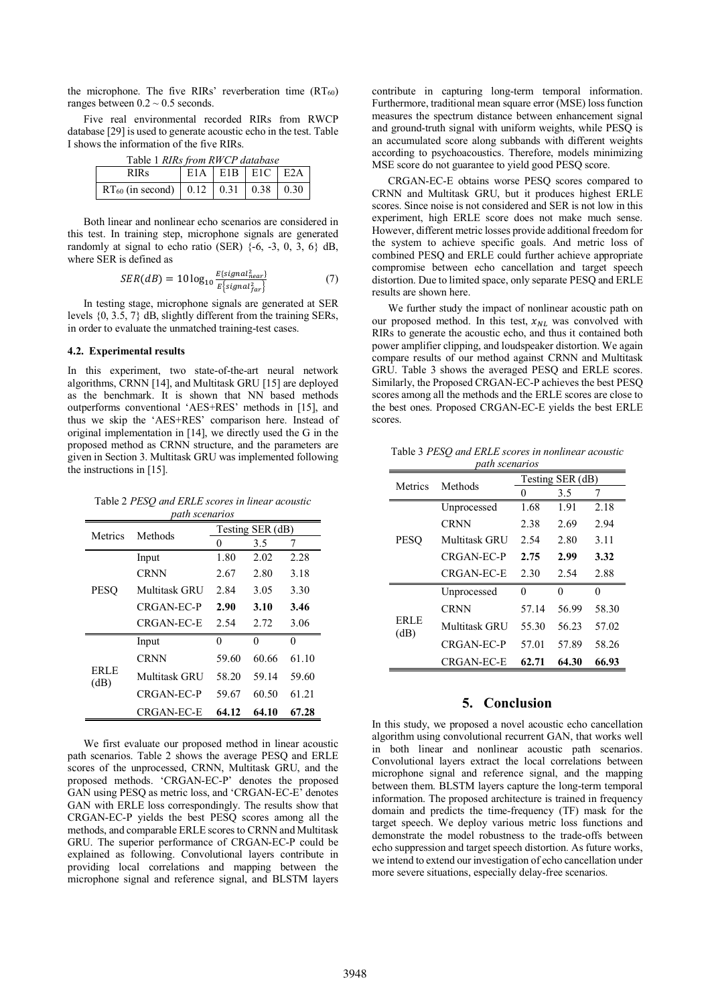the microphone. The five RIRs' reverberation time  $(RT_{60})$ ranges between  $0.2 \sim 0.5$  seconds.

Five real environmental recorded RIRs from RWCP database [29] is used to generate acoustic echo in the test. Table I shows the information of the five RIRs.

| Table 1 RIRs from RWCP database |                   |  |  |  |  |  |  |
|---------------------------------|-------------------|--|--|--|--|--|--|
| <b>RIRs</b>                     | $E1A$ E1B E1C E2A |  |  |  |  |  |  |
|                                 |                   |  |  |  |  |  |  |

Both linear and nonlinear echo scenarios are considered in this test. In training step, microphone signals are generated randomly at signal to echo ratio (SER)  $\{-6, -3, 0, 3, 6\}$  dB, where SER is defined as

$$
SER(dB) = 10 \log_{10} \frac{E\{signal_{near}^2\}}{E\{signal_{far}^2\}} \tag{7}
$$

In testing stage, microphone signals are generated at SER levels {0, 3.5, 7} dB, slightly different from the training SERs, in order to evaluate the unmatched training-test cases.

#### **4.2. Experimental results**

In this experiment, two state-of-the-art neural network algorithms, CRNN [14], and Multitask GRU [15] are deployed as the benchmark. It is shown that NN based methods outperforms conventional 'AES+RES' methods in [15], and thus we skip the 'AES+RES' comparison here. Instead of original implementation in [14], we directly used the G in the proposed method as CRNN structure, and the parameters are given in Section 3. Multitask GRU was implemented following the instructions in [15].

Table 2 *PESQ and ERLE scores in linear acoustic path scenarios*

| pum scenurios       |                   |                  |       |       |  |
|---------------------|-------------------|------------------|-------|-------|--|
| Metrics             | Methods           | Testing SER (dB) |       |       |  |
|                     |                   | 0                | 3.5   | 7     |  |
| <b>PESO</b>         | Input             | 1.80             | 2.02  | 2.28  |  |
|                     | <b>CRNN</b>       | 2.67             | 2.80  | 3.18  |  |
|                     | Multitask GRU     | 2.84             | 3.05  | 3.30  |  |
|                     | CRGAN-EC-P        | 2.90             | 3.10  | 3.46  |  |
|                     | CRGAN-EC-E        | 2.54             | 2.72  | 3.06  |  |
| <b>ERLE</b><br>(dB) | Input             | 0                | 0     | 0     |  |
|                     | <b>CRNN</b>       | 59.60            | 60.66 | 61.10 |  |
|                     | Multitask GRU     | 58.20            | 59.14 | 59.60 |  |
|                     | CRGAN-EC-P        | 59.67            | 60.50 | 61.21 |  |
|                     | <b>CRGAN-EC-E</b> | 64.12            | 64.10 | 67.28 |  |

We first evaluate our proposed method in linear acoustic path scenarios. Table 2 shows the average PESQ and ERLE scores of the unprocessed, CRNN, Multitask GRU, and the proposed methods. 'CRGAN-EC-P' denotes the proposed GAN using PESQ as metric loss, and 'CRGAN-EC-E' denotes GAN with ERLE loss correspondingly. The results show that CRGAN-EC-P yields the best PESQ scores among all the methods, and comparable ERLE scores to CRNN and Multitask GRU. The superior performance of CRGAN-EC-P could be explained as following. Convolutional layers contribute in providing local correlations and mapping between the microphone signal and reference signal, and BLSTM layers

contribute in capturing long-term temporal information. Furthermore, traditional mean square error (MSE) loss function measures the spectrum distance between enhancement signal and ground-truth signal with uniform weights, while PESQ is an accumulated score along subbands with different weights according to psychoacoustics. Therefore, models minimizing MSE score do not guarantee to yield good PESQ score.

CRGAN-EC-E obtains worse PESQ scores compared to CRNN and Multitask GRU, but it produces highest ERLE scores. Since noise is not considered and SER is not low in this experiment, high ERLE score does not make much sense. However, different metric losses provide additional freedom for the system to achieve specific goals. And metric loss of combined PESQ and ERLE could further achieve appropriate compromise between echo cancellation and target speech distortion. Due to limited space, only separate PESQ and ERLE results are shown here.

We further study the impact of nonlinear acoustic path on our proposed method. In this test,  $x_{NL}$  was convolved with RIRs to generate the acoustic echo, and thus it contained both power amplifier clipping, and loudspeaker distortion. We again compare results of our method against CRNN and Multitask GRU. Table 3 shows the averaged PESQ and ERLE scores. Similarly, the Proposed CRGAN-EC-P achieves the best PESQ scores among all the methods and the ERLE scores are close to the best ones. Proposed CRGAN-EC-E yields the best ERLE scores.

Table 3 *PESQ and ERLE scores in nonlinear acoustic path scenarios*

| Metrics             | Methods           | Testing SER (dB) |       |       |
|---------------------|-------------------|------------------|-------|-------|
|                     |                   |                  | 3.5   |       |
| <b>PESO</b>         | Unprocessed       | 1.68             | 1.91  | 2.18  |
|                     | <b>CRNN</b>       | 2.38             | 2.69  | 2.94  |
|                     | Multitask GRU     | 2.54             | 2.80  | 3.11  |
|                     | CRGAN-EC-P        | 2.75             | 2.99  | 3.32  |
|                     | CRGAN-EC-E        | 2.30             | 2.54  | 2.88  |
| <b>ERLE</b><br>(dB) | Unprocessed       | 0                | 0     | 0     |
|                     | <b>CRNN</b>       | 57.14            | 56.99 | 58.30 |
|                     | Multitask GRU     | 55.30            | 56.23 | 57.02 |
|                     | CRGAN-EC-P        | 57.01            | 57.89 | 58.26 |
|                     | <b>CRGAN-EC-E</b> | 62.71            | 64.30 | 66.93 |

## **5. Conclusion**

In this study, we proposed a novel acoustic echo cancellation algorithm using convolutional recurrent GAN, that works well in both linear and nonlinear acoustic path scenarios. Convolutional layers extract the local correlations between microphone signal and reference signal, and the mapping between them. BLSTM layers capture the long-term temporal information. The proposed architecture is trained in frequency domain and predicts the time-frequency (TF) mask for the target speech. We deploy various metric loss functions and demonstrate the model robustness to the trade-offs between echo suppression and target speech distortion. As future works, we intend to extend our investigation of echo cancellation under more severe situations, especially delay-free scenarios.